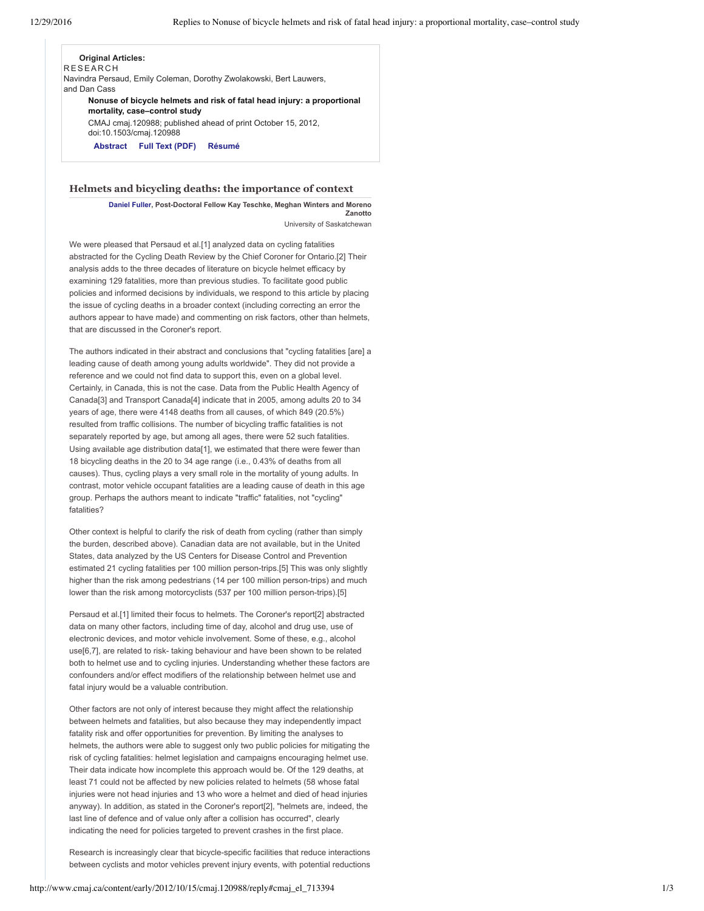# **Original Articles:**

**RESEARCH** 

Navindra Persaud, Emily Coleman, Dorothy Zwolakowski, Bert Lauwers, and Dan Cass

**Nonuse of bicycle helmets and risk of fatal head injury: a proportional mortality, case–control study**

CMAJ cmaj.120988; published ahead of print October 15, 2012, doi:10.1503/cmaj.120988

**[Abstract](http://www.cmaj.ca/content/early/2012/10/15/cmaj.120988.abstract) Full Text [\(PDF\)](http://www.cmaj.ca/content/early/2012/10/15/cmaj.120988.full.pdf+html) [Résumé](http://www.cmaj.ca/content/early/2012/10/15/cmaj.120988/suppl/DC1)**

#### **Helmets and bicycling deaths: the importance of context**

**[Daniel](mailto:daniel.lavergne.fuller@umontreal.ca) Fuller, PostDoctoral Fellow Kay Teschke, Meghan Winters and Moreno Zanotto** University of Saskatchewan

We were pleased that Persaud et al.[1] analyzed data on cycling fatalities abstracted for the Cycling Death Review by the Chief Coroner for Ontario.[2] Their analysis adds to the three decades of literature on bicycle helmet efficacy by examining 129 fatalities, more than previous studies. To facilitate good public policies and informed decisions by individuals, we respond to this article by placing the issue of cycling deaths in a broader context (including correcting an error the authors appear to have made) and commenting on risk factors, other than helmets, that are discussed in the Coroner's report.

The authors indicated in their abstract and conclusions that "cycling fatalities [are] a leading cause of death among young adults worldwide". They did not provide a reference and we could not find data to support this, even on a global level. Certainly, in Canada, this is not the case. Data from the Public Health Agency of Canada[3] and Transport Canada[4] indicate that in 2005, among adults 20 to 34 years of age, there were 4148 deaths from all causes, of which 849 (20.5%) resulted from traffic collisions. The number of bicycling traffic fatalities is not separately reported by age, but among all ages, there were 52 such fatalities. Using available age distribution data[1], we estimated that there were fewer than 18 bicycling deaths in the 20 to 34 age range (i.e., 0.43% of deaths from all causes). Thus, cycling plays a very small role in the mortality of young adults. In contrast, motor vehicle occupant fatalities are a leading cause of death in this age group. Perhaps the authors meant to indicate "traffic" fatalities, not "cycling" fatalities?

Other context is helpful to clarify the risk of death from cycling (rather than simply the burden, described above). Canadian data are not available, but in the United States, data analyzed by the US Centers for Disease Control and Prevention estimated 21 cycling fatalities per 100 million person-trips.[5] This was only slightly higher than the risk among pedestrians (14 per 100 million person-trips) and much lower than the risk among motorcyclists (537 per 100 million person-trips).[5]

Persaud et al.[1] limited their focus to helmets. The Coroner's report[2] abstracted data on many other factors, including time of day, alcohol and drug use, use of electronic devices, and motor vehicle involvement. Some of these, e.g., alcohol use[6,7], are related to risk- taking behaviour and have been shown to be related both to helmet use and to cycling injuries. Understanding whether these factors are confounders and/or effect modifiers of the relationship between helmet use and fatal injury would be a valuable contribution.

Other factors are not only of interest because they might affect the relationship between helmets and fatalities, but also because they may independently impact fatality risk and offer opportunities for prevention. By limiting the analyses to helmets, the authors were able to suggest only two public policies for mitigating the risk of cycling fatalities: helmet legislation and campaigns encouraging helmet use. Their data indicate how incomplete this approach would be. Of the 129 deaths, at least 71 could not be affected by new policies related to helmets (58 whose fatal injuries were not head injuries and 13 who wore a helmet and died of head injuries anyway). In addition, as stated in the Coroner's report[2], "helmets are, indeed, the last line of defence and of value only after a collision has occurred", clearly indicating the need for policies targeted to prevent crashes in the first place.

Research is increasingly clear that bicycle-specific facilities that reduce interactions between cyclists and motor vehicles prevent injury events, with potential reductions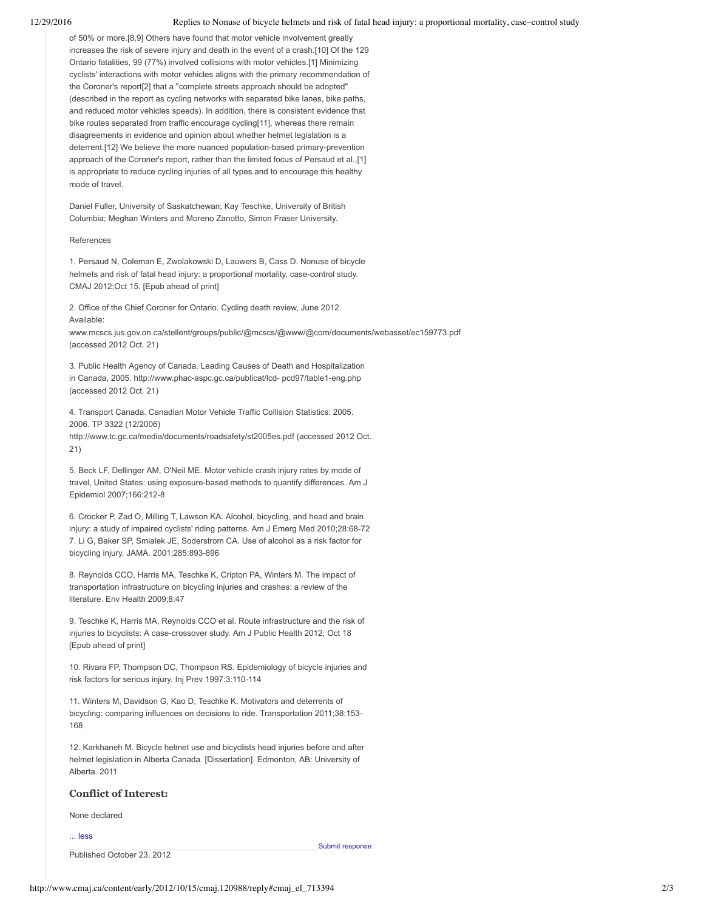of 50% or more.[8,9] Others have found that motor vehicle involvement greatly increases the risk of severe injury and death in the event of a crash.[10] Of the 129 Ontario fatalities, 99 (77%) involved collisions with motor vehicles.[1] Minimizing cyclists' interactions with motor vehicles aligns with the primary recommendation of the Coroner's report[2] that a "complete streets approach should be adopted" (described in the report as cycling networks with separated bike lanes, bike paths, and reduced motor vehicles speeds). In addition, there is consistent evidence that bike routes separated from traffic encourage cycling[11], whereas there remain disagreements in evidence and opinion about whether helmet legislation is a deterrent.[12] We believe the more nuanced population-based primary-prevention approach of the Coroner's report, rather than the limited focus of Persaud et al.,[1] is appropriate to reduce cycling injuries of all types and to encourage this healthy mode of travel.

Daniel Fuller, University of Saskatchewan; Kay Teschke, University of British Columbia; Meghan Winters and Moreno Zanotto, Simon Fraser University.

#### References

1. Persaud N, Coleman E, Zwolakowski D, Lauwers B, Cass D. Nonuse of bicycle helmets and risk of fatal head injury: a proportional mortality, case-control study. CMAJ 2012;Oct 15. [Epub ahead of print]

2. Office of the Chief Coroner for Ontario. Cycling death review, June 2012. Available:

www.mcscs.jus.gov.on.ca/stellent/groups/public/@mcscs/@www/@com/documents/webasset/ec159773.pdf (accessed 2012 Oct. 21)

3. Public Health Agency of Canada. Leading Causes of Death and Hospitalization in Canada, 2005. http://www.phac-aspc.gc.ca/publicat/lcd- pcd97/table1-eng.php (accessed 2012 Oct. 21)

4. Transport Canada. Canadian Motor Vehicle Traffic Collision Statistics: 2005. 2006. TP 3322 (12/2006)

http://www.tc.gc.ca/media/documents/roadsafety/st2005es.pdf (accessed 2012 Oct. 21)

5. Beck LF, Dellinger AM, O'Neil ME. Motor vehicle crash injury rates by mode of travel, United States: using exposure-based methods to quantify differences. Am J Epidemiol 2007;166:212-8

6. Crocker P, Zad O, Milling T, Lawson KA. Alcohol, bicycling, and head and brain injury: a study of impaired cyclists' riding patterns. Am J Emerg Med 2010;28:68-72 7. Li G, Baker SP, Smialek JE, Soderstrom CA. Use of alcohol as a risk factor for bicycling injury. JAMA. 2001;285:893-896

8. Reynolds CCO, Harris MA, Teschke K, Cripton PA, Winters M. The impact of transportation infrastructure on bicycling injuries and crashes: a review of the literature. Env Health 2009;8:47

9. Teschke K, Harris MA, Reynolds CCO et al. Route infrastructure and the risk of injuries to bicyclists: A case-crossover study. Am J Public Health 2012; Oct 18 [Epub ahead of print]

10. Rivara FP, Thompson DC, Thompson RS. Epidemiology of bicycle injuries and risk factors for serious injury. Inj Prev 1997:3:110-114

11. Winters M, Davidson G, Kao D, Teschke K. Motivators and deterrents of bicycling: comparing influences on decisions to ride. Transportation 2011;38:153 168

12. Karkhaneh M. Bicycle helmet use and bicyclists head injuries before and after helmet legislation in Alberta Canada. [Dissertation]. Edmonton, AB: University of Alberta. 2011

## **Conflict of Interest:**

None declared

... less

Published October 23, 2012

Submit [response](http://www.cmaj.ca/letters/submit/cmaj;cmaj.120988v1?title=Re:Helmets%20and%20bicycling%20deaths%3A%20the%20importance%20of%20context)